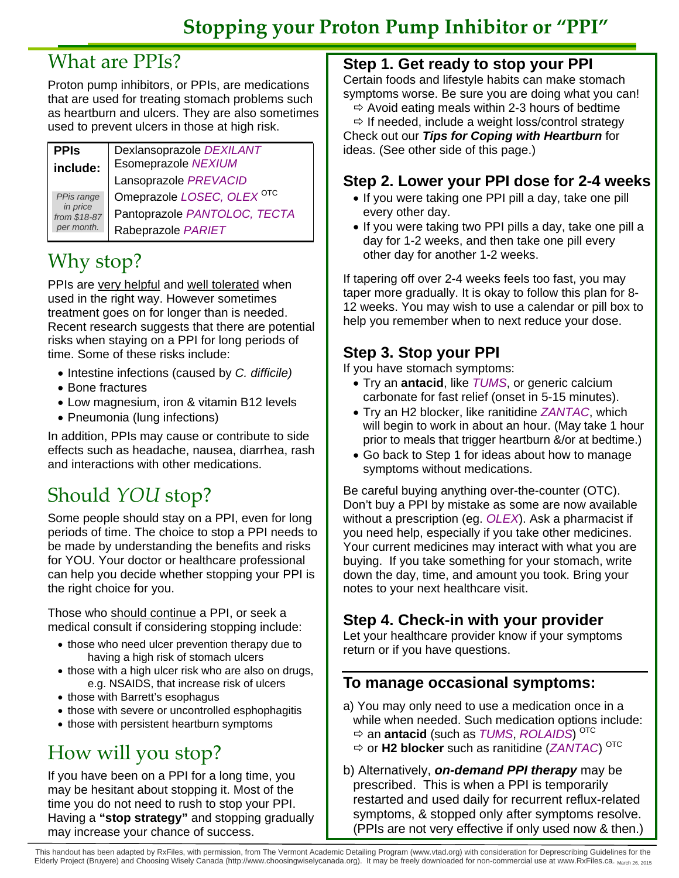# What are PPIs?

Proton pump inhibitors, or PPIs, are medications that are used for treating stomach problems such as heartburn and ulcers. They are also sometimes used to prevent ulcers in those at high risk.

| <b>PPIS</b>              | Dexlansoprazole DEXILANT              |
|--------------------------|---------------------------------------|
| include:                 | Esomeprazole NEXIUM                   |
|                          | Lansoprazole PREVACID                 |
| PPis range               | Omeprazole LOSEC, OLEX <sup>OTC</sup> |
| in price<br>from \$18-87 | Pantoprazole PANTOLOC, TECTA          |
| per month.               | Rabeprazole PARIET                    |

# Why stop?

PPIs are very helpful and well tolerated when used in the right way. However sometimes treatment goes on for longer than is needed. Recent research suggests that there are potential risks when staying on a PPI for long periods of time. Some of these risks include:

- Intestine infections (caused by *C. difficile)*
- Bone fractures
- Low magnesium, iron & vitamin B12 levels
- Pneumonia (lung infections)

In addition, PPIs may cause or contribute to side effects such as headache, nausea, diarrhea, rash and interactions with other medications.

# Should *YOU* stop?

Some people should stay on a PPI, even for long periods of time. The choice to stop a PPI needs to be made by understanding the benefits and risks for YOU. Your doctor or healthcare professional can help you decide whether stopping your PPI is the right choice for you.

Those who should continue a PPI, or seek a medical consult if considering stopping include:

- those who need ulcer prevention therapy due to having a high risk of stomach ulcers
- those with a high ulcer risk who are also on drugs, e.g. NSAIDS, that increase risk of ulcers
- those with Barrett's esophagus
- those with severe or uncontrolled esphophagitis
- those with persistent heartburn symptoms

# How will you stop?

If you have been on a PPI for a long time, you may be hesitant about stopping it. Most of the time you do not need to rush to stop your PPI. Having a **"stop strategy"** and stopping gradually may increase your chance of success.

## **Step 1. Get ready to stop your PPI**

Certain foods and lifestyle habits can make stomach symptoms worse. Be sure you are doing what you can!

 $\Rightarrow$  Avoid eating meals within 2-3 hours of bedtime  $\Rightarrow$  If needed, include a weight loss/control strategy

Check out our *Tips for Coping with Heartburn* for ideas. (See other side of this page.)

## **Step 2. Lower your PPI dose for 2-4 weeks**

- If you were taking one PPI pill a day, take one pill every other day.
- If you were taking two PPI pills a day, take one pill a day for 1-2 weeks, and then take one pill every other day for another 1-2 weeks.

If tapering off over 2-4 weeks feels too fast, you may taper more gradually. It is okay to follow this plan for 8- 12 weeks. You may wish to use a calendar or pill box to help you remember when to next reduce your dose.

# **Step 3. Stop your PPI**

If you have stomach symptoms:

- Try an **antacid**, like *TUMS*, or generic calcium carbonate for fast relief (onset in 5-15 minutes).
- Try an H2 blocker, like ranitidine *ZANTAC*, which will begin to work in about an hour. (May take 1 hour prior to meals that trigger heartburn &/or at bedtime.)
- Go back to Step 1 for ideas about how to manage symptoms without medications.

Be careful buying anything over-the-counter (OTC). Don't buy a PPI by mistake as some are now available without a prescription (eg. *OLEX*). Ask a pharmacist if you need help, especially if you take other medicines. Your current medicines may interact with what you are buying. If you take something for your stomach, write down the day, time, and amount you took. Bring your notes to your next healthcare visit.

# **Step 4. Check-in with your provider**

Let your healthcare provider know if your symptoms return or if you have questions.

## **To manage occasional symptoms:**

- a) You may only need to use a medication once in a while when needed. Such medication options include: an **antacid** (such as *TUMS*, *ROLAIDS*) OTC
	- or **H2 blocker** such as ranitidine (*ZANTAC*) OTC
- b) Alternatively, *on-demand PPI therapy* may be prescribed. This is when a PPI is temporarily restarted and used daily for recurrent reflux-related symptoms, & stopped only after symptoms resolve. (PPIs are not very effective if only used now & then.)

This handout has been adapted by RxFiles, with permission, from The Vermont Academic Detailing Program (www.vtad.org) with consideration for Deprescribing Guidelines for the Elderly Project (Bruyere) and Choosing Wisely Canada (http://www.choosingwiselycanada.org). It may be freely downloaded for non-commercial use at www.RxFiles.ca. March 26, 2015